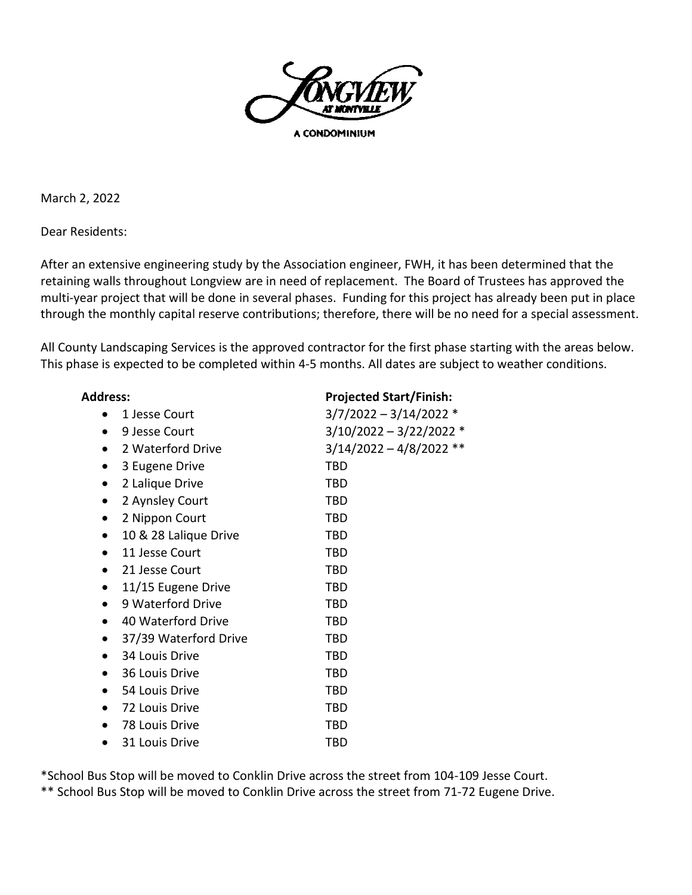

A CONDOMINIUM

March 2, 2022

Dear Residents:

After an extensive engineering study by the Association engineer, FWH, it has been determined that the retaining walls throughout Longview are in need of replacement. The Board of Trustees has approved the multi-year project that will be done in several phases. Funding for this project has already been put in place through the monthly capital reserve contributions; therefore, there will be no need for a special assessment.

All County Landscaping Services is the approved contractor for the first phase starting with the areas below. This phase is expected to be completed within 4-5 months. All dates are subject to weather conditions.

| <b>Address:</b>                    | <b>Projected Start/Finish:</b> |
|------------------------------------|--------------------------------|
| 1 Jesse Court                      | $3/7/2022 - 3/14/2022$ *       |
| 9 Jesse Court<br>$\bullet$         | $3/10/2022 - 3/22/2022$ *      |
| 2 Waterford Drive                  | $3/14/2022 - 4/8/2022$ **      |
| 3 Eugene Drive<br>$\bullet$        | <b>TBD</b>                     |
| 2 Lalique Drive<br>$\bullet$       | <b>TBD</b>                     |
| 2 Aynsley Court<br>$\bullet$       | <b>TBD</b>                     |
| 2 Nippon Court<br>$\bullet$        | <b>TBD</b>                     |
| 10 & 28 Lalique Drive<br>$\bullet$ | TBD                            |
| 11 Jesse Court<br>$\bullet$        | <b>TBD</b>                     |
| 21 Jesse Court<br>$\bullet$        | TBD                            |
| 11/15 Eugene Drive<br>$\bullet$    | <b>TBD</b>                     |
| 9 Waterford Drive<br>$\bullet$     | <b>TBD</b>                     |
| 40 Waterford Drive<br>$\bullet$    | <b>TBD</b>                     |
| 37/39 Waterford Drive<br>$\bullet$ | <b>TBD</b>                     |
| 34 Louis Drive<br>$\bullet$        | TBD                            |
| 36 Louis Drive<br>$\bullet$        | TBD                            |
| 54 Louis Drive                     | <b>TBD</b>                     |
| 72 Louis Drive<br>$\bullet$        | <b>TBD</b>                     |
| 78 Louis Drive                     | <b>TBD</b>                     |
| 31 Louis Drive                     | <b>TBD</b>                     |

\*School Bus Stop will be moved to Conklin Drive across the street from 104-109 Jesse Court.

\*\* School Bus Stop will be moved to Conklin Drive across the street from 71-72 Eugene Drive.